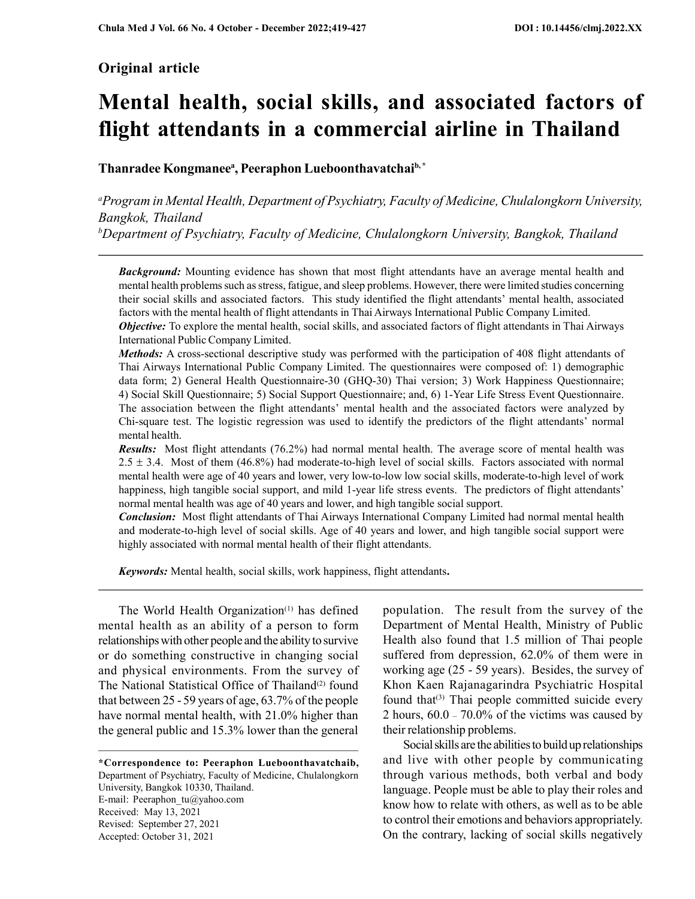# Original article

# Mental health, social skills, and associated factors of flight attendants in a commercial airline in Thailand

Thanradee Kongmanee<sup>a</sup>, Peeraphon Lueboonthavatchai<sup>b,\*</sup>

<sup>a</sup>Program in Mental Health, Department of Psychiatry, Faculty of Medicine, Chulalongkorn University, Bangkok, Thailand  $b$ Department of Psychiatry, Faculty of Medicine, Chulalongkorn University, Bangkok, Thailand

**Background:** Mounting evidence has shown that most flight attendants have an average mental health and mental health problems such as stress, fatigue, and sleep problems. However, there were limited studies concerning their social skills and associated factors. This study identified the flight attendants' mental health, associated factors with the mental health of flight attendants in Thai Airways International Public Company Limited.

**Objective:** To explore the mental health, social skills, and associated factors of flight attendants in Thai Airways International Public Company Limited.

Methods: A cross-sectional descriptive study was performed with the participation of 408 flight attendants of Thai Airways International Public Company Limited. The questionnaires were composed of: 1) demographic data form; 2) General Health Questionnaire-30 (GHQ-30) Thai version; 3) Work Happiness Questionnaire; 4) Social Skill Questionnaire; 5) Social Support Questionnaire; and, 6) 1-Year Life Stress Event Questionnaire. The association between the flight attendants' mental health and the associated factors were analyzed by Chi-square test. The logistic regression was used to identify the predictors of the flight attendants' normal mental health.

Results: Most flight attendants (76.2%) had normal mental health. The average score of mental health was  $2.5 \pm 3.4$ . Most of them (46.8%) had moderate-to-high level of social skills. Factors associated with normal mental health were age of 40 years and lower, very low-to-low low social skills, moderate-to-high level of work happiness, high tangible social support, and mild 1-year life stress events. The predictors of flight attendants' normal mental health was age of 40 years and lower, and high tangible social support.

Conclusion: Most flight attendants of Thai Airways International Company Limited had normal mental health and moderate-to-high level of social skills. Age of 40 years and lower, and high tangible social support were highly associated with normal mental health of their flight attendants.

Keywords: Mental health, social skills, work happiness, flight attendants.

The World Health Organization $(1)$  has defined mental health as an ability of a person to form relationships with other people and the ability to survive or do something constructive in changing social and physical environments. From the survey of The National Statistical Office of Thailand<sup>(2)</sup> found that between 25 - 59 years of age, 63.7% of the people have normal mental health, with 21.0% higher than the general public and 15.3% lower than the general

\*Correspondence to: Peeraphon Lueboonthavatchaib, Department of Psychiatry, Faculty of Medicine, Chulalongkorn University, Bangkok 10330, Thailand. E-mail: Peeraphon\_tu@yahoo.com Received: May 13, 2021 Revised: September 27, 2021 Accepted: October 31, 2021

population. The result from the survey of the Department of Mental Health, Ministry of Public Health also found that 1.5 million of Thai people suffered from depression, 62.0% of them were in working age (25 - 59 years). Besides, the survey of Khon Kaen Rajanagarindra Psychiatric Hospital found that $(3)$  Thai people committed suicide every 2 hours, 60.0 – 70.0% of the victims was caused by their relationship problems.

Social skills are the abilities to build up relationships and live with other people by communicating through various methods, both verbal and body language. People must be able to play their roles and know how to relate with others, as well as to be able to control their emotions and behaviors appropriately. On the contrary, lacking of social skills negatively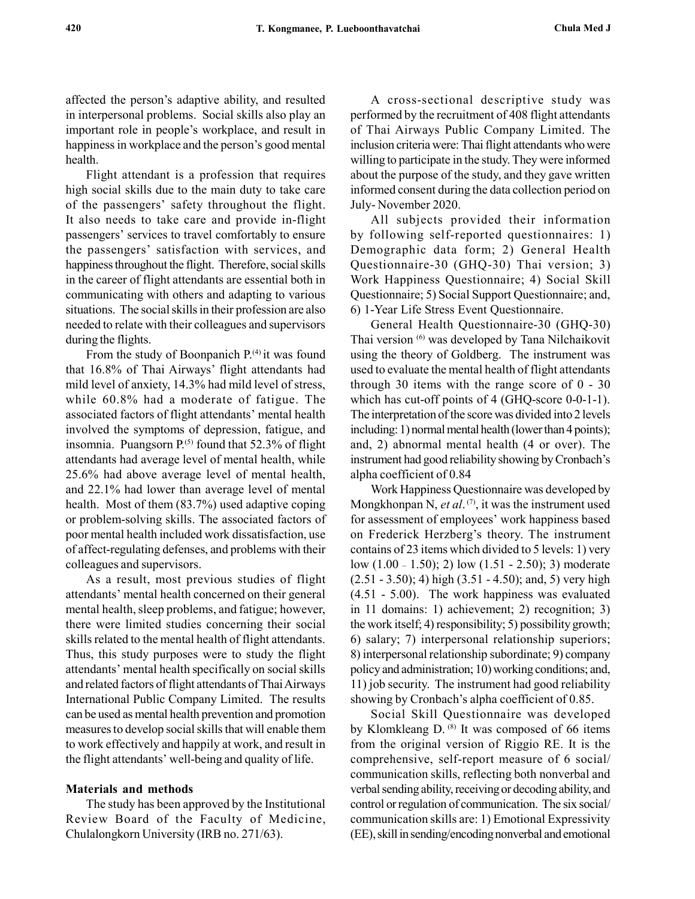affected the person's adaptive ability, and resulted in interpersonal problems. Social skills also play an important role in people's workplace, and result in happiness in workplace and the person's good mental health.

Flight attendant is a profession that requires high social skills due to the main duty to take care of the passengers' safety throughout the flight. It also needs to take care and provide in-flight passengers' services to travel comfortably to ensure the passengers' satisfaction with services, and happiness throughout the flight. Therefore, social skills in the career of flight attendants are essential both in communicating with others and adapting to various situations. The social skills in their profession are also needed to relate with their colleagues and supervisors during the flights.

From the study of Boonpanich  $P^{(4)}$  it was found that 16.8% of Thai Airways' flight attendants had mild level of anxiety, 14.3% had mild level of stress, while 60.8% had a moderate of fatigue. The associated factors of flight attendants' mental health involved the symptoms of depression, fatigue, and insomnia. Puangsorn  $P^{(5)}$  found that 52.3% of flight attendants had average level of mental health, while 25.6% had above average level of mental health, and 22.1% had lower than average level of mental health. Most of them (83.7%) used adaptive coping or problem-solving skills. The associated factors of poor mental health included work dissatisfaction, use of affect-regulating defenses, and problems with their colleagues and supervisors.

As a result, most previous studies of flight attendants' mental health concerned on their general mental health, sleep problems, and fatigue; however, there were limited studies concerning their social skills related to the mental health of flight attendants. Thus, this study purposes were to study the flight attendants' mental health specifically on social skills and related factors of flight attendants of Thai Airways International Public Company Limited. The results can be used as mental health prevention and promotion measures to develop social skills that will enable them to work effectively and happily at work, and result in the flight attendants' well-being and quality of life.

#### Materials and methods

The study has been approved by the Institutional Review Board of the Faculty of Medicine, Chulalongkorn University (IRB no. 271/63).

A cross-sectional descriptive study was performed by the recruitment of 408 flight attendants of Thai Airways Public Company Limited. The inclusion criteria were: Thai flight attendants who were willing to participate in the study. They were informed about the purpose of the study, and they gave written informed consent during the data collection period on July- November 2020.

All subjects provided their information by following self-reported questionnaires: 1) Demographic data form; 2) General Health Questionnaire-30 (GHQ-30) Thai version; 3) Work Happiness Questionnaire; 4) Social Skill Questionnaire; 5) Social Support Questionnaire; and, 6) 1-Year Life Stress Event Questionnaire.

General Health Questionnaire-30 (GHQ-30) Thai version (6) was developed by Tana Nilchaikovit using the theory of Goldberg. The instrument was used to evaluate the mental health of flight attendants through 30 items with the range score of 0 - 30 which has cut-off points of 4 (GHQ-score 0-0-1-1). The interpretation of the score was divided into 2 levels including: 1) normal mental health (lower than 4 points); and, 2) abnormal mental health (4 or over). The instrument had good reliability showing by Cronbach's alpha coefficient of 0.84

Work Happiness Questionnaire was developed by Mongkhonpan N, et al.<sup> $(7)$ </sup>, it was the instrument used for assessment of employees' work happiness based on Frederick Herzberg's theory. The instrument contains of 23 items which divided to 5 levels: 1) very low (1.00 – 1.50); 2) low (1.51 - 2.50); 3) moderate  $(2.51 - 3.50)$ ; 4) high  $(3.51 - 4.50)$ ; and, 5) very high (4.51 - 5.00). The work happiness was evaluated in 11 domains: 1) achievement; 2) recognition; 3) the work itself; 4) responsibility; 5) possibility growth; 6) salary; 7) interpersonal relationship superiors; 8) interpersonal relationship subordinate; 9) company policy and administration; 10) working conditions; and, 11) job security. The instrument had good reliability showing by Cronbach's alpha coefficient of 0.85.

Social Skill Questionnaire was developed by Klomkleang D.<sup>(8)</sup> It was composed of 66 items from the original version of Riggio RE. It is the comprehensive, self-report measure of 6 social/ communication skills, reflecting both nonverbal and verbal sending ability, receiving or decoding ability, and control or regulation of communication. The six social/ communication skills are: 1) Emotional Expressivity (EE), skill in sending/encoding nonverbal and emotional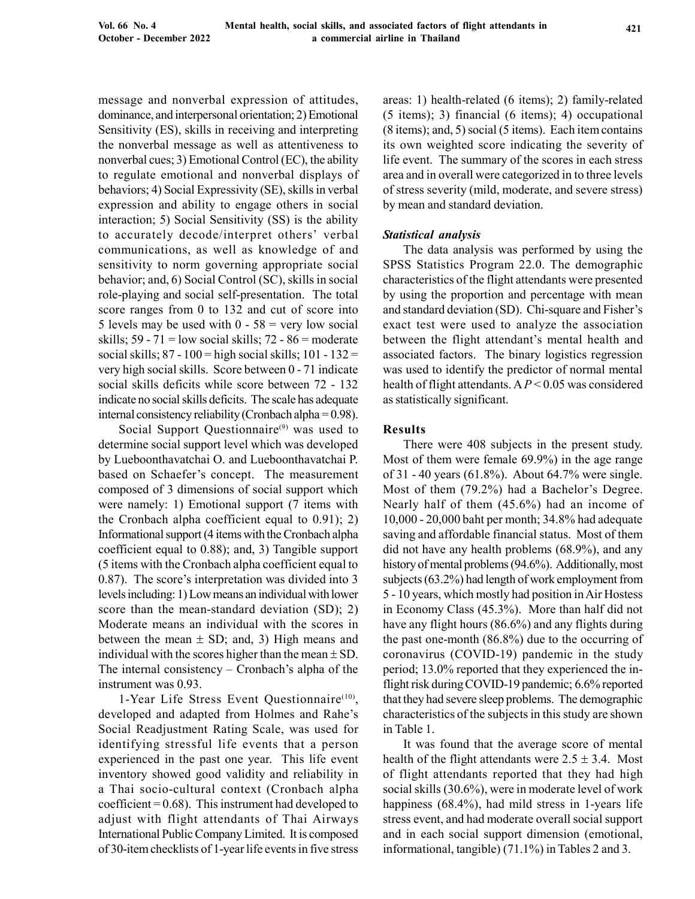message and nonverbal expression of attitudes, dominance, and interpersonal orientation; 2) Emotional Sensitivity (ES), skills in receiving and interpreting the nonverbal message as well as attentiveness to nonverbal cues; 3) Emotional Control (EC), the ability to regulate emotional and nonverbal displays of behaviors; 4) Social Expressivity (SE), skills in verbal expression and ability to engage others in social interaction; 5) Social Sensitivity (SS) is the ability to accurately decode/interpret others' verbal communications, as well as knowledge of and sensitivity to norm governing appropriate social behavior; and, 6) Social Control (SC), skills in social role-playing and social self-presentation. The total score ranges from 0 to 132 and cut of score into 5 levels may be used with  $0 - 58$  = very low social skills; 59 - 71 = low social skills; 72 - 86 = moderate social skills;  $87 - 100 =$  high social skills;  $101 - 132 =$ very high social skills. Score between 0 - 71 indicate social skills deficits while score between 72 - 132 indicate no social skills deficits. The scale has adequate internal consistency reliability (Cronbach alpha = 0.98).

Social Support Questionnaire<sup>(9)</sup> was used to determine social support level which was developed by Lueboonthavatchai O. and Lueboonthavatchai P. based on Schaefer's concept. The measurement composed of 3 dimensions of social support which were namely: 1) Emotional support (7 items with the Cronbach alpha coefficient equal to 0.91); 2) Informational support (4 items with the Cronbach alpha coefficient equal to 0.88); and, 3) Tangible support (5 items with the Cronbach alpha coefficient equal to 0.87). The score's interpretation was divided into 3 levels including: 1) Low means an individual with lower score than the mean-standard deviation (SD); 2) Moderate means an individual with the scores in between the mean  $\pm$  SD; and, 3) High means and individual with the scores higher than the mean  $\pm$  SD. The internal consistency – Cronbach's alpha of the instrument was 0.93.

1-Year Life Stress Event Questionnaire<sup>(10)</sup>, developed and adapted from Holmes and Rahe's Social Readjustment Rating Scale, was used for identifying stressful life events that a person experienced in the past one year. This life event inventory showed good validity and reliability in a Thai socio-cultural context (Cronbach alpha coefficient =  $0.68$ ). This instrument had developed to adjust with flight attendants of Thai Airways International Public Company Limited. It is composed of 30-item checklists of 1-year life events in five stress

areas: 1) health-related (6 items); 2) family-related (5 items); 3) financial (6 items); 4) occupational (8 items); and, 5) social (5 items). Each item contains its own weighted score indicating the severity of life event. The summary of the scores in each stress area and in overall were categorized in to three levels of stress severity (mild, moderate, and severe stress) by mean and standard deviation.

# Statistical analysis

The data analysis was performed by using the SPSS Statistics Program 22.0. The demographic characteristics of the flight attendants were presented by using the proportion and percentage with mean and standard deviation (SD). Chi-square and Fisher's exact test were used to analyze the association between the flight attendant's mental health and associated factors. The binary logistics regression was used to identify the predictor of normal mental health of flight attendants.  $AP < 0.05$  was considered as statistically significant.

# Results

There were 408 subjects in the present study. Most of them were female 69.9%) in the age range of 31 - 40 years (61.8%). About 64.7% were single. Most of them (79.2%) had a Bachelor's Degree. Nearly half of them (45.6%) had an income of 10,000 - 20,000 baht per month; 34.8% had adequate saving and affordable financial status. Most of them did not have any health problems (68.9%), and any history of mental problems (94.6%). Additionally, most subjects (63.2%) had length of work employment from 5 - 10 years, which mostly had position in Air Hostess in Economy Class (45.3%). More than half did not have any flight hours (86.6%) and any flights during the past one-month (86.8%) due to the occurring of coronavirus (COVID-19) pandemic in the study period; 13.0% reported that they experienced the inflight risk during COVID-19 pandemic; 6.6% reported that they had severe sleep problems. The demographic characteristics of the subjects in this study are shown in Table 1.

It was found that the average score of mental health of the flight attendants were  $2.5 \pm 3.4$ . Most of flight attendants reported that they had high social skills (30.6%), were in moderate level of work happiness (68.4%), had mild stress in 1-years life stress event, and had moderate overall social support and in each social support dimension (emotional, informational, tangible) (71.1%) in Tables 2 and 3.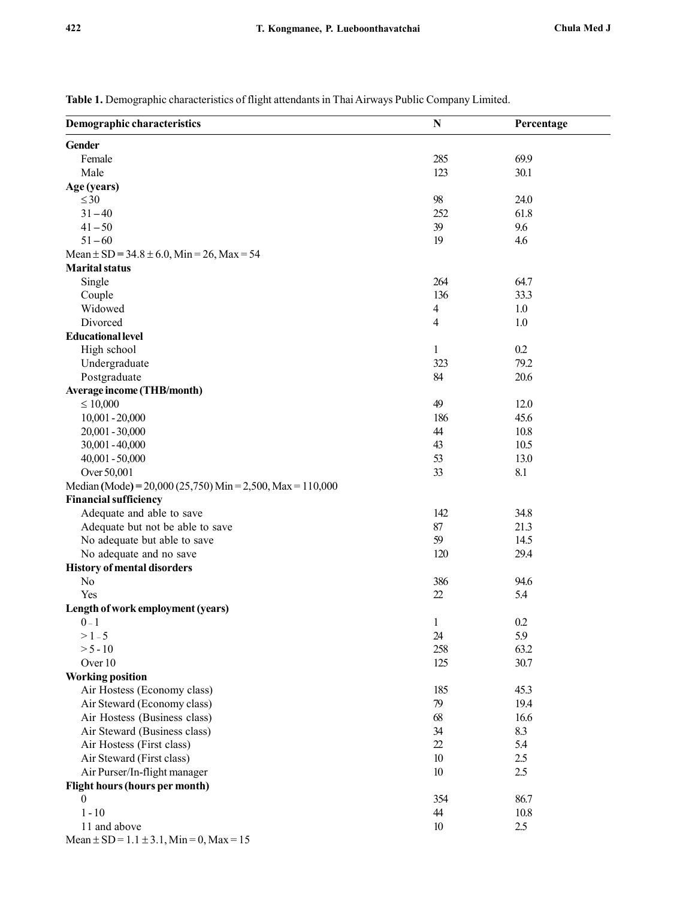Table 1. Demographic characteristics of flight attendants in Thai Airways Public Company Limited.

| <b>Demographic characteristics</b>                         | $\mathbf N$    | Percentage |
|------------------------------------------------------------|----------------|------------|
| Gender                                                     |                |            |
| Female                                                     | 285            | 69.9       |
| Male                                                       | 123            | 30.1       |
| Age (years)                                                |                |            |
| $\leq 30$                                                  | 98             | 24.0       |
| $31 - 40$                                                  | 252            | 61.8       |
| $41 - 50$                                                  | 39             | 9.6        |
| $51 - 60$                                                  | 19             | 4.6        |
| Mean $\pm$ SD = 34.8 $\pm$ 6.0, Min = 26, Max = 54         |                |            |
| <b>Marital</b> status                                      |                |            |
| Single                                                     | 264            | 64.7       |
| Couple                                                     | 136            | 33.3       |
| Widowed                                                    | $\overline{4}$ | 1.0        |
| Divorced                                                   | 4              | 1.0        |
| <b>Educational level</b>                                   |                |            |
| High school                                                | 1              | 0.2        |
| Undergraduate                                              | 323            | 79.2       |
| Postgraduate                                               | 84             | 20.6       |
| <b>Average income (THB/month)</b>                          |                |            |
| $\leq 10,000$                                              | 49             | 12.0       |
| $10,001 - 20,000$                                          | 186            | 45.6       |
| 20,001 - 30,000                                            | 44             | 10.8       |
| 30,001 - 40,000                                            | 43             | 10.5       |
| $40,001 - 50,000$                                          | 53             | 13.0       |
| Over 50,001                                                | 33             | 8.1        |
| Median (Mode) = 20,000 (25,750) Min = 2,500, Max = 110,000 |                |            |
| <b>Financial sufficiency</b>                               |                |            |
| Adequate and able to save                                  | 142            | 34.8       |
| Adequate but not be able to save                           | 87             | 21.3       |
| No adequate but able to save                               | 59             | 14.5       |
| No adequate and no save                                    | 120            | 29.4       |
| <b>History of mental disorders</b>                         |                |            |
| No                                                         | 386            | 94.6       |
| Yes                                                        | 22             | 5.4        |
| Length of work employment (years)                          |                |            |
| $0 - 1$                                                    | $\mathbf{1}$   | 0.2        |
| $>1-5$                                                     | 24             | 5.9        |
| $> 5 - 10$                                                 | 258            | 63.2       |
| Over 10                                                    | 125            | 30.7       |
| <b>Working position</b>                                    |                |            |
| Air Hostess (Economy class)                                | 185            | 45.3       |
| Air Steward (Economy class)                                | 79             | 19.4       |
| Air Hostess (Business class)                               | 68             | 16.6       |
| Air Steward (Business class)                               | 34             | 8.3        |
| Air Hostess (First class)                                  | 22             | 5.4        |
| Air Steward (First class)                                  | 10             | 2.5        |
| Air Purser/In-flight manager                               | 10             | 2.5        |
| Flight hours (hours per month)                             |                |            |
| $\boldsymbol{0}$                                           | 354            | 86.7       |
| $1 - 10$                                                   | 44             | 10.8       |
| 11 and above                                               | 10             | 2.5        |
| Mean $\pm$ SD = 1.1 $\pm$ 3.1, Min = 0, Max = 15           |                |            |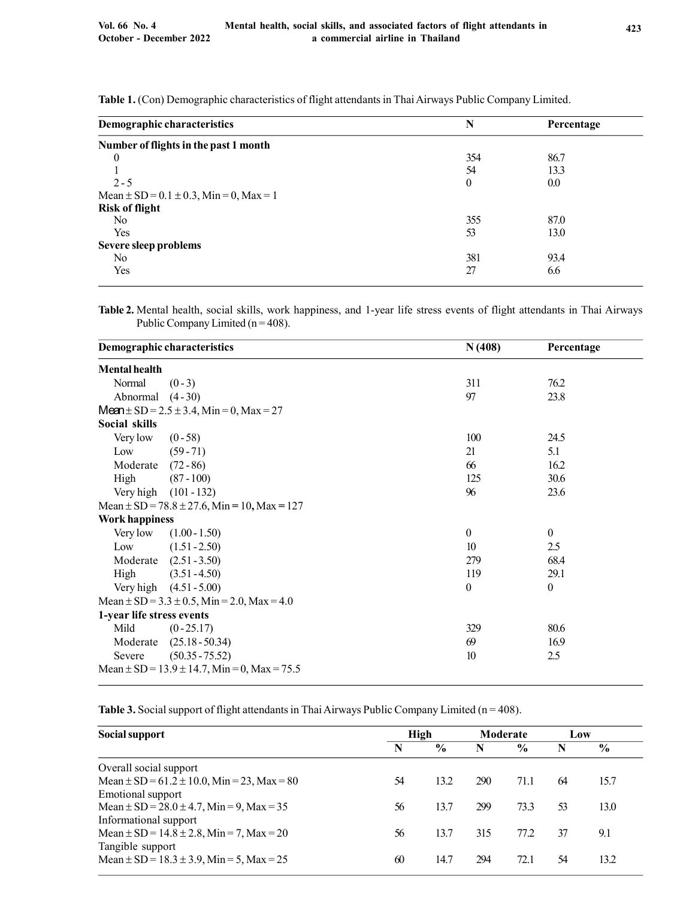|          | Percentage |
|----------|------------|
|          |            |
| 354      | 86.7       |
| 54       | 13.3       |
| $\theta$ | 0.0        |
|          |            |
|          |            |
| 355      | 87.0       |
| 53       | 13.0       |
|          |            |
| 381      | 93.4       |
| 27       | 6.6        |
|          |            |

Table 1. (Con) Demographic characteristics of flight attendants in Thai Airways Public Company Limited.

Table 2. Mental health, social skills, work happiness, and 1-year life stress events of flight attendants in Thai Airways Public Company Limited ( $n = 408$ ).

|                           | Demographic characteristics                          | N(408)           | Percentage   |
|---------------------------|------------------------------------------------------|------------------|--------------|
| <b>Mental health</b>      |                                                      |                  |              |
| Normal                    | $(0-3)$                                              | 311              | 76.2         |
| Abnormal (4-30)           |                                                      | 97               | 23.8         |
|                           | Mean $\pm$ SD = 2.5 $\pm$ 3.4, Min = 0, Max = 27     |                  |              |
| Social skills             |                                                      |                  |              |
| Very low                  | $(0-58)$                                             | 100              | 24.5         |
| Low                       | $(59 - 71)$                                          | 21               | 5.1          |
| Moderate                  | $(72 - 86)$                                          | 66               | 16.2         |
| High                      | $(87 - 100)$                                         | 125              | 30.6         |
| Very high $(101 - 132)$   |                                                      | 96               | 23.6         |
|                           | Mean $\pm$ SD = 78.8 $\pm$ 27.6, Min = 10, Max = 127 |                  |              |
| <b>Work happiness</b>     |                                                      |                  |              |
| Very low                  | $(1.00 - 1.50)$                                      | $\boldsymbol{0}$ | $\mathbf{0}$ |
| Low                       | $(1.51 - 2.50)$                                      | 10               | 2.5          |
|                           | Moderate (2.51 - 3.50)                               | 279              | 68.4         |
| High                      | $(3.51 - 4.50)$                                      | 119              | 29.1         |
|                           | Very high (4.51 - 5.00)                              | $\mathbf{0}$     | $\mathbf{0}$ |
|                           | Mean $\pm$ SD = 3.3 $\pm$ 0.5, Min = 2.0, Max = 4.0  |                  |              |
| 1-year life stress events |                                                      |                  |              |
| Mild                      | $(0-25.17)$                                          | 329              | 80.6         |
| Moderate                  | $(25.18 - 50.34)$                                    | 69               | 16.9         |
| Severe                    | $(50.35 - 75.52)$                                    | 10               | 2.5          |
|                           | Mean $\pm$ SD = 13.9 $\pm$ 14.7, Min = 0, Max = 75.5 |                  |              |

Table 3. Social support of flight attendants in Thai Airways Public Company Limited ( $n = 408$ ).

| Social support                                      | <b>High</b> |               |     | Moderate      |    | Low           |
|-----------------------------------------------------|-------------|---------------|-----|---------------|----|---------------|
|                                                     | N           | $\frac{0}{0}$ | N   | $\frac{6}{9}$ | N  | $\frac{6}{9}$ |
| Overall social support                              |             |               |     |               |    |               |
| Mean $\pm$ SD = 61.2 $\pm$ 10.0, Min = 23, Max = 80 | 54          | 13.2          | 290 | 71.1          | 64 | 15.7          |
| Emotional support                                   |             |               |     |               |    |               |
| Mean $\pm$ SD = 28.0 $\pm$ 4.7, Min = 9, Max = 35   | 56          | 13.7          | 299 | 73.3          | 53 | 13.0          |
| Informational support                               |             |               |     |               |    |               |
| Mean $\pm$ SD = 14.8 $\pm$ 2.8, Min = 7, Max = 20   | 56          | 13.7          | 315 | 77.2          | 37 | 9.1           |
| Tangible support                                    |             |               |     |               |    |               |
| Mean $\pm$ SD = 18.3 $\pm$ 3.9, Min = 5, Max = 25   | 60          | 14.7          | 294 | 72.1          | 54 | 13.2          |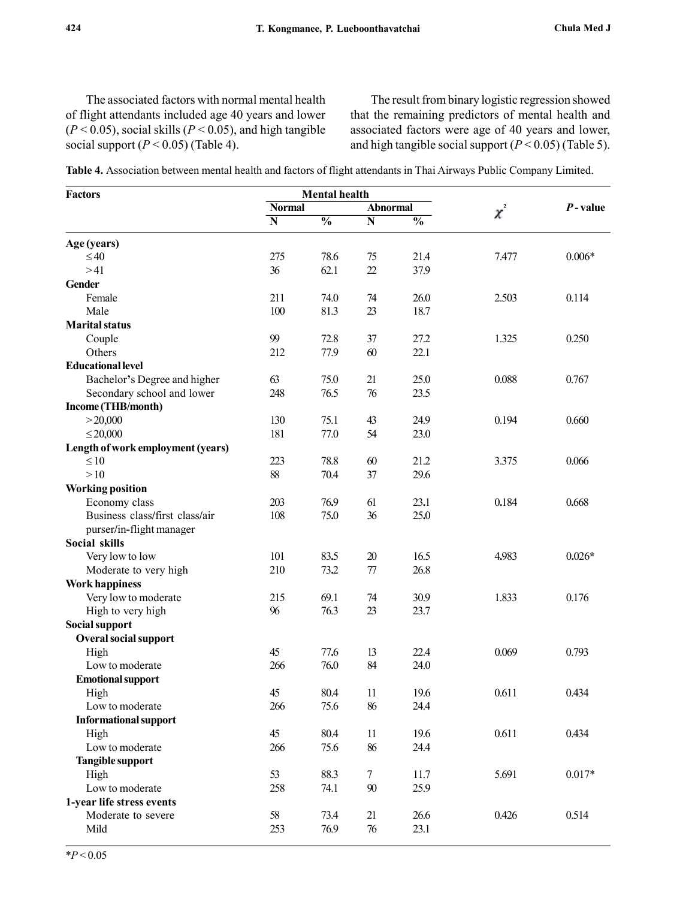The associated factors with normal mental health of flight attendants included age 40 years and lower  $(P < 0.05)$ , social skills  $(P < 0.05)$ , and high tangible social support  $(P < 0.05)$  (Table 4).

The result from binary logistic regression showed that the remaining predictors of mental health and associated factors were age of 40 years and lower, and high tangible social support  $(P < 0.05)$  (Table 5).

|  | Table 4. Association between mental health and factors of flight attendants in Thai Airways Public Company Limited. |  |  |  |  |  |
|--|---------------------------------------------------------------------------------------------------------------------|--|--|--|--|--|
|  |                                                                                                                     |  |  |  |  |  |

| <b>Factors</b>                    |                         | <b>Mental health</b>     |                 |                          |          |            |
|-----------------------------------|-------------------------|--------------------------|-----------------|--------------------------|----------|------------|
|                                   | <b>Normal</b>           |                          | <b>Abnormal</b> |                          | $\chi^2$ | $P$ -value |
|                                   | $\overline{\mathbf{N}}$ | $\overline{\frac{0}{0}}$ | $\mathbf N$     | $\overline{\frac{0}{0}}$ |          |            |
| Age (years)                       |                         |                          |                 |                          |          |            |
| $\leq 40$                         | 275                     | 78.6                     | 75              | 21.4                     | 7.477    | $0.006*$   |
| >41                               | 36                      | 62.1                     | 22              | 37.9                     |          |            |
| Gender                            |                         |                          |                 |                          |          |            |
| Female                            | 211                     | 74.0                     | 74              | 26.0                     | 2.503    | 0.114      |
| Male                              | 100                     | 81.3                     | 23              | 18.7                     |          |            |
| <b>Marital</b> status             |                         |                          |                 |                          |          |            |
| Couple                            | 99                      | 72.8                     | 37              | 27.2                     | 1.325    | 0.250      |
| Others                            | 212                     | 77.9                     | 60              | 22.1                     |          |            |
| <b>Educational level</b>          |                         |                          |                 |                          |          |            |
| Bachelor's Degree and higher      | 63                      | 75.0                     | 21              | 25.0                     | 0.088    | 0.767      |
| Secondary school and lower        | 248                     | 76.5                     | 76              | 23.5                     |          |            |
| Income (THB/month)                |                         |                          |                 |                          |          |            |
| >20,000                           | 130                     | 75.1                     | 43              | 24.9                     | 0.194    | 0.660      |
| $\leq$ 20,000                     | 181                     | 77.0                     | 54              | 23.0                     |          |            |
| Length of work employment (years) |                         |                          |                 |                          |          |            |
| $\leq 10$                         | 223                     | 78.8                     | 60              | 21.2                     | 3.375    | 0.066      |
| >10                               | 88                      | 70.4                     | 37              | 29.6                     |          |            |
| <b>Working position</b>           |                         |                          |                 |                          |          |            |
| Economy class                     | 203                     | 76.9                     | 61              | 23.1                     | 0.184    | 0.668      |
| Business class/first class/air    | 108                     | 75.0                     | 36              | 25.0                     |          |            |
| purser/in-flight manager          |                         |                          |                 |                          |          |            |
| Social skills                     |                         |                          |                 |                          |          |            |
| Very low to low                   | 101                     | 83.5                     | 20              | 16.5                     | 4.983    | $0.026*$   |
| Moderate to very high             | 210                     | 73.2                     | 77              | 26.8                     |          |            |
| <b>Work happiness</b>             |                         |                          |                 |                          |          |            |
| Very low to moderate              | 215                     | 69.1                     | 74              | 30.9                     | 1.833    | 0.176      |
| High to very high                 | 96                      | 76.3                     | 23              | 23.7                     |          |            |
| Social support                    |                         |                          |                 |                          |          |            |
| <b>Overal social support</b>      |                         |                          |                 |                          |          |            |
| High                              | 45                      | 77.6                     | 13              | 22.4                     | 0.069    | 0.793      |
| Low to moderate                   | 266                     | 76.0                     | 84              | 24.0                     |          |            |
| <b>Emotional support</b>          |                         |                          |                 |                          |          |            |
| High                              | 45                      | 80.4                     | 11              | 19.6                     | 0.611    | 0.434      |
| Low to moderate                   | 266                     | 75.6                     | 86              | 24.4                     |          |            |
| <b>Informational support</b>      |                         |                          |                 |                          |          |            |
| High                              | 45                      | 80.4                     | 11              | 19.6                     | 0.611    | 0.434      |
| Low to moderate                   | 266                     | 75.6                     | 86              | 24.4                     |          |            |
| <b>Tangible support</b>           |                         |                          |                 |                          |          |            |
| High                              | 53                      | 88.3                     | $\tau$          | 11.7                     | 5.691    | $0.017*$   |
| Low to moderate                   | 258                     | 74.1                     | 90              | 25.9                     |          |            |
| 1-year life stress events         |                         |                          |                 |                          |          |            |
| Moderate to severe                | 58                      | 73.4                     | 21              | 26.6                     | 0.426    | 0.514      |
| Mild                              | 253                     | 76.9                     | 76              | 23.1                     |          |            |
|                                   |                         |                          |                 |                          |          |            |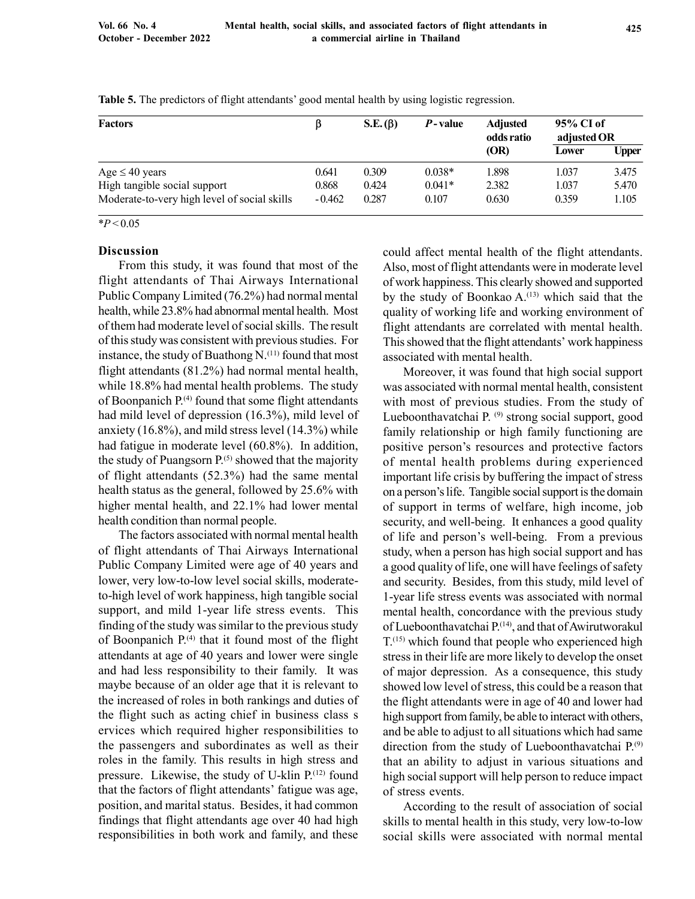| <b>Factors</b>                               | ß        | $S.E.(\beta)$ | $P$ -value | <b>Adjusted</b><br>odds ratio<br>(OR) | 95% CI of<br>adjusted OR |       |
|----------------------------------------------|----------|---------------|------------|---------------------------------------|--------------------------|-------|
|                                              |          |               |            |                                       | Lower                    | Upper |
| Age $\leq 40$ years                          | 0.641    | 0.309         | $0.038*$   | 1.898                                 | 1.037                    | 3.475 |
| High tangible social support                 | 0.868    | 0.424         | $0.041*$   | 2.382                                 | 1.037                    | 5.470 |
| Moderate-to-very high level of social skills | $-0.462$ | 0.287         | 0.107      | 0.630                                 | 0.359                    | 1.105 |

Table 5. The predictors of flight attendants' good mental health by using logistic regression.

 $*P < 0.05$ 

### Discussion

From this study, it was found that most of the flight attendants of Thai Airways International Public Company Limited (76.2%) had normal mental health, while 23.8% had abnormal mental health. Most of them had moderate level of social skills. The result of this study was consistent with previous studies. For instance, the study of Buathong N. $(11)$  found that most flight attendants (81.2%) had normal mental health, while 18.8% had mental health problems. The study of Boonpanich P.(4) found that some flight attendants had mild level of depression (16.3%), mild level of anxiety (16.8%), and mild stress level (14.3%) while had fatigue in moderate level (60.8%). In addition, the study of Puangsorn P.<sup>(5)</sup> showed that the majority of flight attendants (52.3%) had the same mental health status as the general, followed by 25.6% with higher mental health, and 22.1% had lower mental health condition than normal people.

The factors associated with normal mental health of flight attendants of Thai Airways International Public Company Limited were age of 40 years and lower, very low-to-low level social skills, moderateto-high level of work happiness, high tangible social support, and mild 1-year life stress events. This finding of the study was similar to the previous study of Boonpanich  $P<sup>(4)</sup>$  that it found most of the flight attendants at age of 40 years and lower were single and had less responsibility to their family. It was maybe because of an older age that it is relevant to the increased of roles in both rankings and duties of the flight such as acting chief in business class s ervices which required higher responsibilities to the passengers and subordinates as well as their roles in the family. This results in high stress and pressure. Likewise, the study of U-klin P.(12) found that the factors of flight attendants' fatigue was age, position, and marital status. Besides, it had common findings that flight attendants age over 40 had high responsibilities in both work and family, and these

could affect mental health of the flight attendants. Also, most of flight attendants were in moderate level of work happiness. This clearly showed and supported by the study of Boonkao  $A^{(13)}$  which said that the quality of working life and working environment of flight attendants are correlated with mental health. This showed that the flight attendants' work happiness associated with mental health.

Moreover, it was found that high social support was associated with normal mental health, consistent with most of previous studies. From the study of Lueboonthavatchai P. (9) strong social support, good family relationship or high family functioning are positive person's resources and protective factors of mental health problems during experienced important life crisis by buffering the impact of stress on a person's life. Tangible social support is the domain of support in terms of welfare, high income, job security, and well-being. It enhances a good quality of life and person's well-being. From a previous study, when a person has high social support and has a good quality of life, one will have feelings of safety and security. Besides, from this study, mild level of 1-year life stress events was associated with normal mental health, concordance with the previous study of Lueboonthavatchai P.<sup>(14)</sup>, and that of Awirutworakul  $T<sup>(15)</sup>$  which found that people who experienced high stress in their life are more likely to develop the onset of major depression. As a consequence, this study showed low level of stress, this could be a reason that the flight attendants were in age of 40 and lower had high support from family, be able to interact with others, and be able to adjust to all situations which had same direction from the study of Lueboonthavatchai P.<sup>(9)</sup> that an ability to adjust in various situations and high social support will help person to reduce impact of stress events.

According to the result of association of social skills to mental health in this study, very low-to-low social skills were associated with normal mental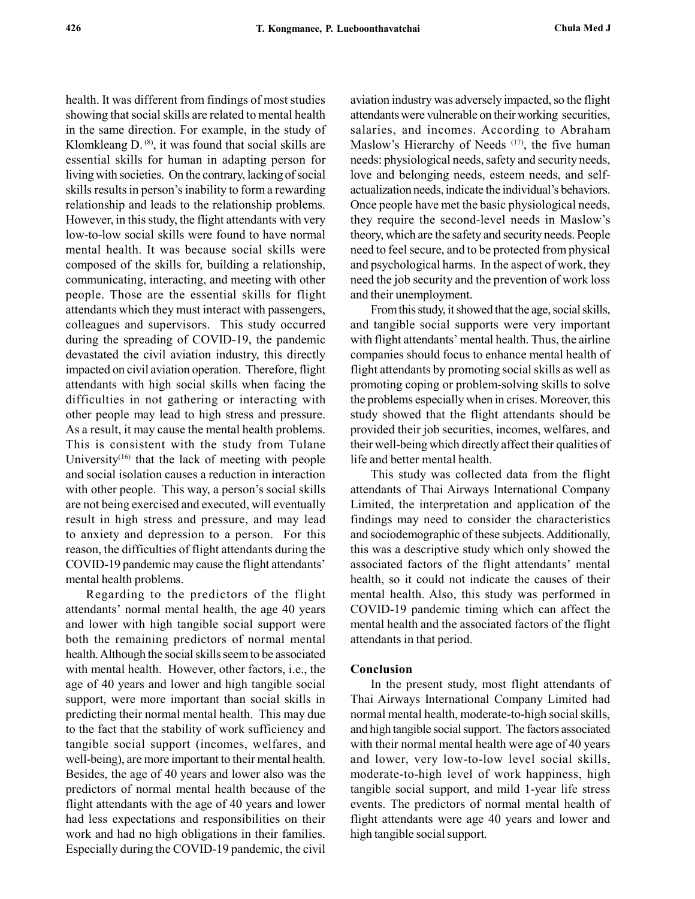health. It was different from findings of most studies showing that social skills are related to mental health in the same direction. For example, in the study of Klomkleang  $D^{(8)}$ , it was found that social skills are essential skills for human in adapting person for living with societies. On the contrary, lacking of social skills results in person's inability to form a rewarding relationship and leads to the relationship problems. However, in this study, the flight attendants with very low-to-low social skills were found to have normal mental health. It was because social skills were composed of the skills for, building a relationship, communicating, interacting, and meeting with other people. Those are the essential skills for flight attendants which they must interact with passengers, colleagues and supervisors. This study occurred during the spreading of COVID-19, the pandemic devastated the civil aviation industry, this directly impacted on civil aviation operation. Therefore, flight attendants with high social skills when facing the difficulties in not gathering or interacting with other people may lead to high stress and pressure. As a result, it may cause the mental health problems. This is consistent with the study from Tulane University<sup> $(16)$ </sup> that the lack of meeting with people and social isolation causes a reduction in interaction with other people. This way, a person's social skills are not being exercised and executed, will eventually result in high stress and pressure, and may lead to anxiety and depression to a person. For this reason, the difficulties of flight attendants during the COVID-19 pandemic may cause the flight attendants' mental health problems.

Regarding to the predictors of the flight attendants' normal mental health, the age 40 years and lower with high tangible social support were both the remaining predictors of normal mental health. Although the social skills seem to be associated with mental health. However, other factors, i.e., the age of 40 years and lower and high tangible social support, were more important than social skills in predicting their normal mental health. This may due to the fact that the stability of work sufficiency and tangible social support (incomes, welfares, and well-being), are more important to their mental health. Besides, the age of 40 years and lower also was the predictors of normal mental health because of the flight attendants with the age of 40 years and lower had less expectations and responsibilities on their work and had no high obligations in their families. Especially during the COVID-19 pandemic, the civil

aviation industry was adversely impacted, so the flight attendants were vulnerable on their working securities, salaries, and incomes. According to Abraham Maslow's Hierarchy of Needs  $(17)$ , the five human needs: physiological needs, safety and security needs, love and belonging needs, esteem needs, and selfactualization needs, indicate the individual's behaviors. Once people have met the basic physiological needs, they require the second-level needs in Maslow's theory, which are the safety and security needs. People need to feel secure, and to be protected from physical and psychological harms. In the aspect of work, they need the job security and the prevention of work loss and their unemployment.

From this study, it showed that the age, social skills, and tangible social supports were very important with flight attendants' mental health. Thus, the airline companies should focus to enhance mental health of flight attendants by promoting social skills as well as promoting coping or problem-solving skills to solve the problems especially when in crises. Moreover, this study showed that the flight attendants should be provided their job securities, incomes, welfares, and their well-being which directly affect their qualities of life and better mental health.

This study was collected data from the flight attendants of Thai Airways International Company Limited, the interpretation and application of the findings may need to consider the characteristics and sociodemographic of these subjects. Additionally, this was a descriptive study which only showed the associated factors of the flight attendants' mental health, so it could not indicate the causes of their mental health. Also, this study was performed in COVID-19 pandemic timing which can affect the mental health and the associated factors of the flight attendants in that period.

#### Conclusion

In the present study, most flight attendants of Thai Airways International Company Limited had normal mental health, moderate-to-high social skills, and high tangible social support. The factors associated with their normal mental health were age of 40 years and lower, very low-to-low level social skills, moderate-to-high level of work happiness, high tangible social support, and mild 1-year life stress events. The predictors of normal mental health of flight attendants were age 40 years and lower and high tangible social support.